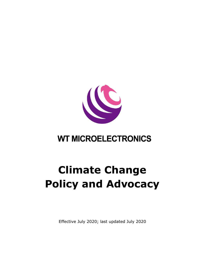

## **WT MICROELECTRONICS**

## **Climate Change Policy and Advocacy**

Effective July 2020; last updated July 2020